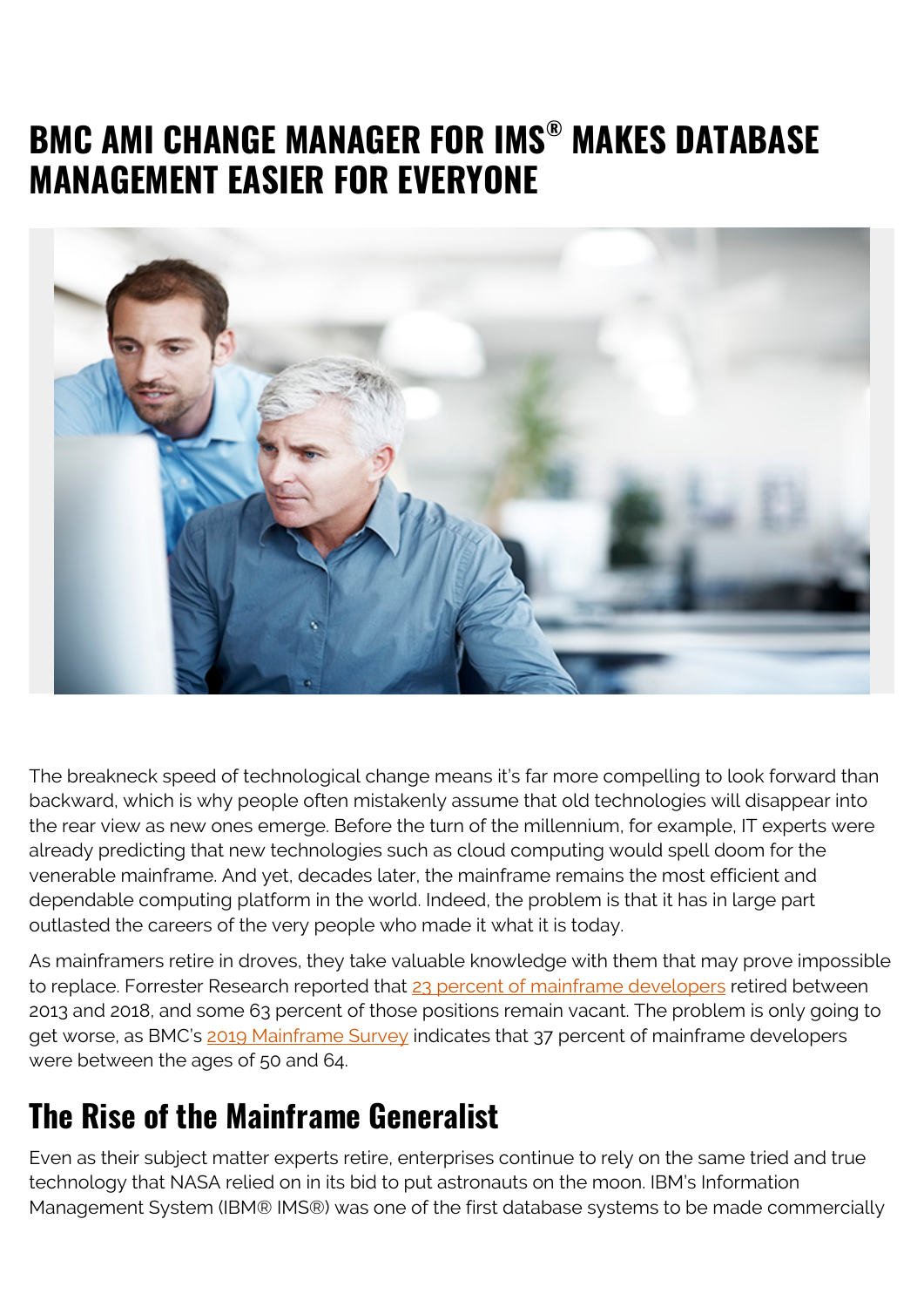## **BMC AMI CHANGE MANAGER FOR IMS® MAKES DATABASE MANAGEMENT EASIER FOR EVERYONE**



The breakneck speed of technological change means it's far more compelling to look forward than backward, which is why people often mistakenly assume that old technologies will disappear into the rear view as new ones emerge. Before the turn of the millennium, for example, IT experts were already predicting that new technologies such as cloud computing would spell doom for the venerable mainframe. And yet, decades later, the mainframe remains the most efficient and dependable computing platform in the world. Indeed, the problem is that it has in large part outlasted the careers of the very people who made it what it is today.

As mainframers retire in droves, they take valuable knowledge with them that may prove impossible to replace. Forrester Research reported that [23 percent of mainframe developers](https://dzone.com/articles/new-forrester-consulting-kpi-study-is-a-must-read) retired between 2013 and 2018, and some 63 percent of those positions remain vacant. The problem is only going to get worse, as BMC's [2019 Mainframe Survey](https://blogs.bmc.com/info/mainframe-survey.html) indicates that 37 percent of mainframe developers were between the ages of 50 and 64.

## **The Rise of the Mainframe Generalist**

Even as their subject matter experts retire, enterprises continue to rely on the same tried and true technology that NASA relied on in its bid to put astronauts on the moon. IBM's Information Management System (IBM® IMS®) was one of the first database systems to be made commercially